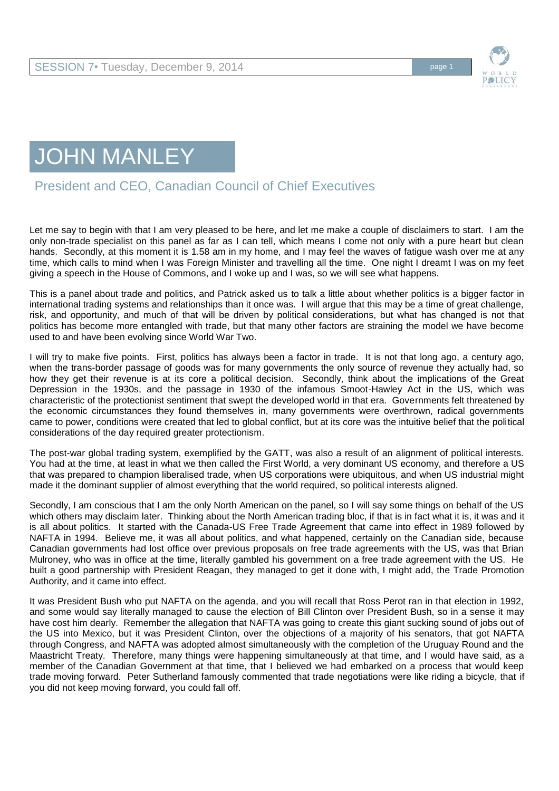

## JOHN MANLEY

President and CEO, Canadian Council of Chief Executives

Let me say to begin with that I am very pleased to be here, and let me make a couple of disclaimers to start. I am the only non-trade specialist on this panel as far as I can tell, which means I come not only with a pure heart but clean hands. Secondly, at this moment it is 1.58 am in my home, and I may feel the waves of fatigue wash over me at any time, which calls to mind when I was Foreign Minister and travelling all the time. One night I dreamt I was on my feet giving a speech in the House of Commons, and I woke up and I was, so we will see what happens.

This is a panel about trade and politics, and Patrick asked us to talk a little about whether politics is a bigger factor in international trading systems and relationships than it once was. I will argue that this may be a time of great challenge, risk, and opportunity, and much of that will be driven by political considerations, but what has changed is not that politics has become more entangled with trade, but that many other factors are straining the model we have become used to and have been evolving since World War Two.

I will try to make five points. First, politics has always been a factor in trade. It is not that long ago, a century ago, when the trans-border passage of goods was for many governments the only source of revenue they actually had, so how they get their revenue is at its core a political decision. Secondly, think about the implications of the Great Depression in the 1930s, and the passage in 1930 of the infamous Smoot-Hawley Act in the US, which was characteristic of the protectionist sentiment that swept the developed world in that era. Governments felt threatened by the economic circumstances they found themselves in, many governments were overthrown, radical governments came to power, conditions were created that led to global conflict, but at its core was the intuitive belief that the political considerations of the day required greater protectionism.

The post-war global trading system, exemplified by the GATT, was also a result of an alignment of political interests. You had at the time, at least in what we then called the First World, a very dominant US economy, and therefore a US that was prepared to champion liberalised trade, when US corporations were ubiquitous, and when US industrial might made it the dominant supplier of almost everything that the world required, so political interests aligned.

Secondly, I am conscious that I am the only North American on the panel, so I will say some things on behalf of the US which others may disclaim later. Thinking about the North American trading bloc, if that is in fact what it is, it was and it is all about politics. It started with the Canada-US Free Trade Agreement that came into effect in 1989 followed by NAFTA in 1994. Believe me, it was all about politics, and what happened, certainly on the Canadian side, because Canadian governments had lost office over previous proposals on free trade agreements with the US, was that Brian Mulroney, who was in office at the time, literally gambled his government on a free trade agreement with the US. He built a good partnership with President Reagan, they managed to get it done with, I might add, the Trade Promotion Authority, and it came into effect.

It was President Bush who put NAFTA on the agenda, and you will recall that Ross Perot ran in that election in 1992, and some would say literally managed to cause the election of Bill Clinton over President Bush, so in a sense it may have cost him dearly. Remember the allegation that NAFTA was going to create this giant sucking sound of jobs out of the US into Mexico, but it was President Clinton, over the objections of a majority of his senators, that got NAFTA through Congress, and NAFTA was adopted almost simultaneously with the completion of the Uruguay Round and the Maastricht Treaty. Therefore, many things were happening simultaneously at that time, and I would have said, as a member of the Canadian Government at that time, that I believed we had embarked on a process that would keep trade moving forward. Peter Sutherland famously commented that trade negotiations were like riding a bicycle, that if you did not keep moving forward, you could fall off.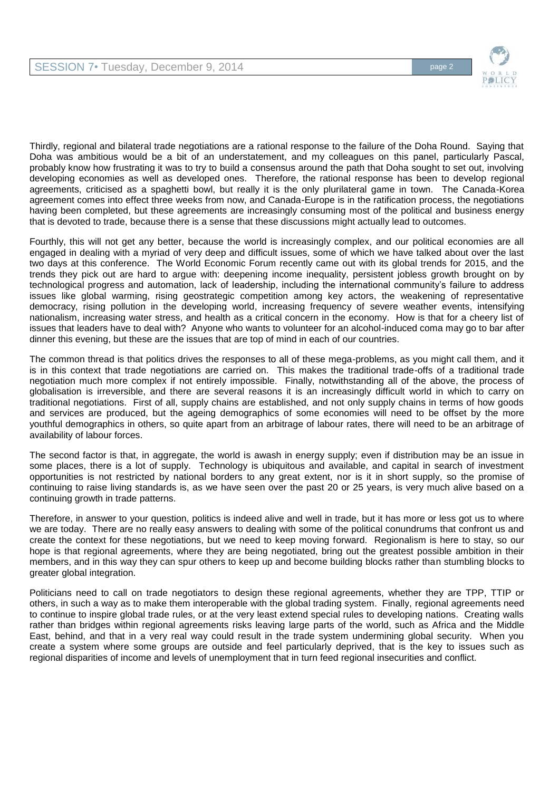

Thirdly, regional and bilateral trade negotiations are a rational response to the failure of the Doha Round. Saying that Doha was ambitious would be a bit of an understatement, and my colleagues on this panel, particularly Pascal, probably know how frustrating it was to try to build a consensus around the path that Doha sought to set out, involving developing economies as well as developed ones. Therefore, the rational response has been to develop regional agreements, criticised as a spaghetti bowl, but really it is the only plurilateral game in town. The Canada-Korea agreement comes into effect three weeks from now, and Canada-Europe is in the ratification process, the negotiations having been completed, but these agreements are increasingly consuming most of the political and business energy that is devoted to trade, because there is a sense that these discussions might actually lead to outcomes.

Fourthly, this will not get any better, because the world is increasingly complex, and our political economies are all engaged in dealing with a myriad of very deep and difficult issues, some of which we have talked about over the last two days at this conference. The World Economic Forum recently came out with its global trends for 2015, and the trends they pick out are hard to argue with: deepening income inequality, persistent jobless growth brought on by technological progress and automation, lack of leadership, including the international community's failure to address issues like global warming, rising geostrategic competition among key actors, the weakening of representative democracy, rising pollution in the developing world, increasing frequency of severe weather events, intensifying nationalism, increasing water stress, and health as a critical concern in the economy. How is that for a cheery list of issues that leaders have to deal with? Anyone who wants to volunteer for an alcohol-induced coma may go to bar after dinner this evening, but these are the issues that are top of mind in each of our countries.

The common thread is that politics drives the responses to all of these mega-problems, as you might call them, and it is in this context that trade negotiations are carried on. This makes the traditional trade-offs of a traditional trade negotiation much more complex if not entirely impossible. Finally, notwithstanding all of the above, the process of globalisation is irreversible, and there are several reasons it is an increasingly difficult world in which to carry on traditional negotiations. First of all, supply chains are established, and not only supply chains in terms of how goods and services are produced, but the ageing demographics of some economies will need to be offset by the more youthful demographics in others, so quite apart from an arbitrage of labour rates, there will need to be an arbitrage of availability of labour forces.

The second factor is that, in aggregate, the world is awash in energy supply; even if distribution may be an issue in some places, there is a lot of supply. Technology is ubiquitous and available, and capital in search of investment opportunities is not restricted by national borders to any great extent, nor is it in short supply, so the promise of continuing to raise living standards is, as we have seen over the past 20 or 25 years, is very much alive based on a continuing growth in trade patterns.

Therefore, in answer to your question, politics is indeed alive and well in trade, but it has more or less got us to where we are today. There are no really easy answers to dealing with some of the political conundrums that confront us and create the context for these negotiations, but we need to keep moving forward. Regionalism is here to stay, so our hope is that regional agreements, where they are being negotiated, bring out the greatest possible ambition in their members, and in this way they can spur others to keep up and become building blocks rather than stumbling blocks to greater global integration.

Politicians need to call on trade negotiators to design these regional agreements, whether they are TPP, TTIP or others, in such a way as to make them interoperable with the global trading system. Finally, regional agreements need to continue to inspire global trade rules, or at the very least extend special rules to developing nations. Creating walls rather than bridges within regional agreements risks leaving large parts of the world, such as Africa and the Middle East, behind, and that in a very real way could result in the trade system undermining global security. When you create a system where some groups are outside and feel particularly deprived, that is the key to issues such as regional disparities of income and levels of unemployment that in turn feed regional insecurities and conflict.